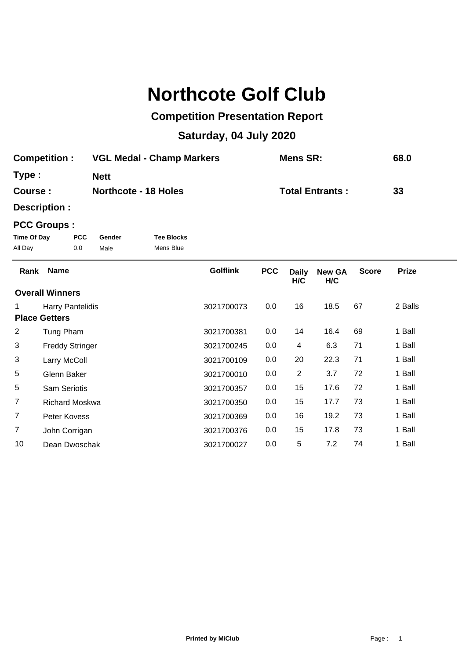## **Northcote Golf Club**

## **Competition Presentation Report**

## **Saturday, 04 July 2020**

| <b>Competition:</b> | <b>VGL Medal - Champ Markers</b> | Mens SR:               | 68.0 |
|---------------------|----------------------------------|------------------------|------|
| Type:               | <b>Nett</b>                      |                        |      |
| Course :            | <b>Northcote - 18 Holes</b>      | <b>Total Entrants:</b> | 33   |

**Description :**

## **PCC Groups :**

| Time Of Day | <b>PCC</b> | Gender | <b>Tee Blocks</b> |
|-------------|------------|--------|-------------------|
| All Day     | 0.0        | Male   | Mens Blue         |

| Rank           | <b>Name</b>            | <b>Golflink</b> | <b>PCC</b> | <b>Daily</b><br>H/C | <b>New GA</b><br>H/C | <b>Score</b> | <b>Prize</b> |  |
|----------------|------------------------|-----------------|------------|---------------------|----------------------|--------------|--------------|--|
|                | <b>Overall Winners</b> |                 |            |                     |                      |              |              |  |
|                | Harry Pantelidis       | 3021700073      | 0.0        | 16                  | 18.5                 | 67           | 2 Balls      |  |
|                | <b>Place Getters</b>   |                 |            |                     |                      |              |              |  |
| 2              | Tung Pham              | 3021700381      | 0.0        | 14                  | 16.4                 | 69           | 1 Ball       |  |
| 3              | <b>Freddy Stringer</b> | 3021700245      | 0.0        | 4                   | 6.3                  | 71           | 1 Ball       |  |
| 3              | Larry McColl           | 3021700109      | 0.0        | 20                  | 22.3                 | 71           | 1 Ball       |  |
| 5              | Glenn Baker            | 3021700010      | 0.0        | 2                   | 3.7                  | 72           | 1 Ball       |  |
| 5              | <b>Sam Seriotis</b>    | 3021700357      | 0.0        | 15                  | 17.6                 | 72           | 1 Ball       |  |
| $\overline{7}$ | <b>Richard Moskwa</b>  | 3021700350      | 0.0        | 15                  | 17.7                 | 73           | 1 Ball       |  |
| $\overline{7}$ | Peter Kovess           | 3021700369      | 0.0        | 16                  | 19.2                 | 73           | 1 Ball       |  |
| 7              | John Corrigan          | 3021700376      | 0.0        | 15                  | 17.8                 | 73           | 1 Ball       |  |
| 10             | Dean Dwoschak          | 3021700027      | 0.0        | 5                   | 7.2                  | 74           | 1 Ball       |  |